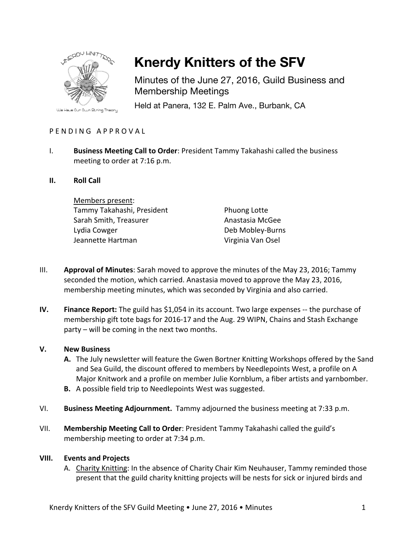

# **Knerdy Knitters of the SFV**

Minutes of the June 27, 2016, Guild Business and Membership Meetings

Held at Panera, 132 E. Palm Ave., Burbank, CA

## PFNDING APPROVAL

- I. **Business Meeting Call to Order**: President Tammy Takahashi called the business meeting to order at 7:16 p.m.
- **II. Roll Call**

Members present: Tammy Takahashi, President Sarah Smith, Treasurer Lydia Cowger Jeannette Hartman

Phuong Lotte Anastasia McGee Deb Mobley-Burns Virginia Van Osel

- III. **Approval of Minutes**: Sarah moved to approve the minutes of the May 23, 2016; Tammy seconded the motion, which carried. Anastasia moved to approve the May 23, 2016, membership meeting minutes, which was seconded by Virginia and also carried.
- **IV. Finance Report:** The guild has \$1,054 in its account. Two large expenses -- the purchase of membership gift tote bags for 2016-17 and the Aug. 29 WIPN, Chains and Stash Exchange party – will be coming in the next two months.

#### **V. New Business**

- **A.** The July newsletter will feature the Gwen Bortner Knitting Workshops offered by the Sand and Sea Guild, the discount offered to members by Needlepoints West, a profile on A Major Knitwork and a profile on member Julie Kornblum, a fiber artists and yarnbomber.
- **B.** A possible field trip to Needlepoints West was suggested.
- VI. **Business Meeting Adjournment.** Tammy adjourned the business meeting at 7:33 p.m.
- VII. **Membership Meeting Call to Order**: President Tammy Takahashi called the guild's membership meeting to order at 7:34 p.m.

#### **VIII. Events and Projects**

A. Charity Knitting: In the absence of Charity Chair Kim Neuhauser, Tammy reminded those present that the guild charity knitting projects will be nests for sick or injured birds and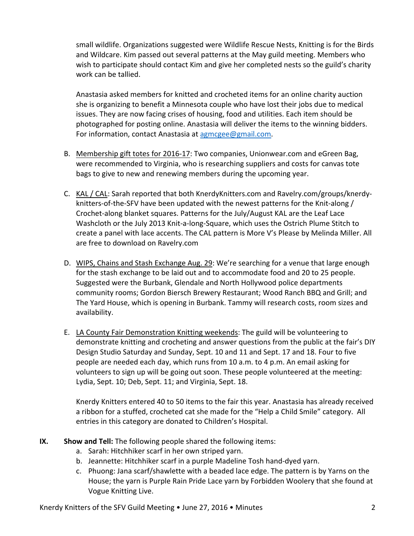small wildlife. Organizations suggested were Wildlife Rescue Nests, Knitting is for the Birds and Wildcare. Kim passed out several patterns at the May guild meeting. Members who wish to participate should contact Kim and give her completed nests so the guild's charity work can be tallied.

Anastasia asked members for knitted and crocheted items for an online charity auction she is organizing to benefit a Minnesota couple who have lost their jobs due to medical issues. They are now facing crises of housing, food and utilities. Each item should be photographed for posting online. Anastasia will deliver the items to the winning bidders. For information, contact Anastasia at agmcgee@gmail.com.

- B. Membership gift totes for 2016-17: Two companies, Unionwear.com and eGreen Bag, were recommended to Virginia, who is researching suppliers and costs for canvas tote bags to give to new and renewing members during the upcoming year.
- C. KAL / CAL: Sarah reported that both KnerdyKnitters.com and Ravelry.com/groups/knerdyknitters-of-the-SFV have been updated with the newest patterns for the Knit-along / Crochet-along blanket squares. Patterns for the July/August KAL are the Leaf Lace Washcloth or the July 2013 Knit-a-long-Square, which uses the Ostrich Plume Stitch to create a panel with lace accents. The CAL pattern is More V's Please by Melinda Miller. All are free to download on Ravelry.com
- D. WIPS, Chains and Stash Exchange Aug. 29: We're searching for a venue that large enough for the stash exchange to be laid out and to accommodate food and 20 to 25 people. Suggested were the Burbank, Glendale and North Hollywood police departments community rooms; Gordon Biersch Brewery Restaurant; Wood Ranch BBQ and Grill; and The Yard House, which is opening in Burbank. Tammy will research costs, room sizes and availability.
- E. LA County Fair Demonstration Knitting weekends: The guild will be volunteering to demonstrate knitting and crocheting and answer questions from the public at the fair's DIY Design Studio Saturday and Sunday, Sept. 10 and 11 and Sept. 17 and 18. Four to five people are needed each day, which runs from 10 a.m. to 4 p.m. An email asking for volunteers to sign up will be going out soon. These people volunteered at the meeting: Lydia, Sept. 10; Deb, Sept. 11; and Virginia, Sept. 18.

Knerdy Knitters entered 40 to 50 items to the fair this year. Anastasia has already received a ribbon for a stuffed, crocheted cat she made for the "Help a Child Smile" category. All entries in this category are donated to Children's Hospital.

- **IX.** Show and Tell: The following people shared the following items:
	- a. Sarah: Hitchhiker scarf in her own striped yarn.
	- b. Jeannette: Hitchhiker scarf in a purple Madeline Tosh hand-dyed yarn.
	- c. Phuong: Jana scarf/shawlette with a beaded lace edge. The pattern is by Yarns on the House; the yarn is Purple Rain Pride Lace yarn by Forbidden Woolery that she found at Vogue Knitting Live.

Knerdy Knitters of the SFV Guild Meeting  $\bullet$  June 27, 2016  $\bullet$  Minutes 2018  $\bullet$